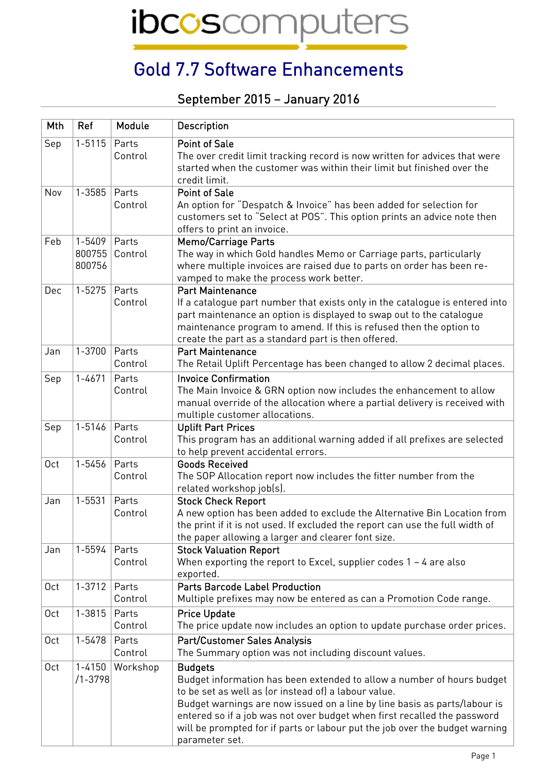ibcoscomputers

## Gold 7.7 Software Enhancements

## September 2015 – January 2016

| Mth             | Ref                       | Module           | <b>Description</b>                                                                                                                                                                                                                                                                                                                                                                                         |  |  |  |
|-----------------|---------------------------|------------------|------------------------------------------------------------------------------------------------------------------------------------------------------------------------------------------------------------------------------------------------------------------------------------------------------------------------------------------------------------------------------------------------------------|--|--|--|
| Sep             | $1 - 5115$                | Parts            | <b>Point of Sale</b>                                                                                                                                                                                                                                                                                                                                                                                       |  |  |  |
|                 |                           | Control          | The over credit limit tracking record is now written for advices that were<br>started when the customer was within their limit but finished over the<br>credit limit.                                                                                                                                                                                                                                      |  |  |  |
| Nov             | 1-3585                    | Parts            | <b>Point of Sale</b>                                                                                                                                                                                                                                                                                                                                                                                       |  |  |  |
|                 |                           | Control          | An option for "Despatch & Invoice" has been added for selection for<br>customers set to "Select at POS". This option prints an advice note then<br>offers to print an invoice.                                                                                                                                                                                                                             |  |  |  |
| Feb             | 1-5409                    | Parts            | <b>Memo/Carriage Parts</b>                                                                                                                                                                                                                                                                                                                                                                                 |  |  |  |
|                 | 800755<br>800756          | Control          | The way in which Gold handles Memo or Carriage parts, particularly<br>where multiple invoices are raised due to parts on order has been re-<br>vamped to make the process work better.                                                                                                                                                                                                                     |  |  |  |
| Dec             | $1 - 5275$                | Parts            | <b>Part Maintenance</b>                                                                                                                                                                                                                                                                                                                                                                                    |  |  |  |
|                 |                           | Control          | If a catalogue part number that exists only in the catalogue is entered into<br>part maintenance an option is displayed to swap out to the catalogue<br>maintenance program to amend. If this is refused then the option to<br>create the part as a standard part is then offered.                                                                                                                         |  |  |  |
| Jan             | 1-3700                    | Parts            | <b>Part Maintenance</b>                                                                                                                                                                                                                                                                                                                                                                                    |  |  |  |
|                 |                           | Control          | The Retail Uplift Percentage has been changed to allow 2 decimal places.                                                                                                                                                                                                                                                                                                                                   |  |  |  |
| Sep             | 1-4671                    | Parts            | <b>Invoice Confirmation</b>                                                                                                                                                                                                                                                                                                                                                                                |  |  |  |
|                 |                           | Control          | The Main Invoice & GRN option now includes the enhancement to allow<br>manual override of the allocation where a partial delivery is received with<br>multiple customer allocations.                                                                                                                                                                                                                       |  |  |  |
| Sep             | 1-5146                    | Parts            | <b>Uplift Part Prices</b>                                                                                                                                                                                                                                                                                                                                                                                  |  |  |  |
|                 |                           | Control          | This program has an additional warning added if all prefixes are selected<br>to help prevent accidental errors.                                                                                                                                                                                                                                                                                            |  |  |  |
| 0 <sub>ct</sub> | 1-5456                    | Parts            | <b>Goods Received</b>                                                                                                                                                                                                                                                                                                                                                                                      |  |  |  |
|                 |                           | Control          | The SOP Allocation report now includes the fitter number from the<br>related workshop job(s).                                                                                                                                                                                                                                                                                                              |  |  |  |
| Jan             | 1-5531                    | Parts<br>Control | <b>Stock Check Report</b><br>A new option has been added to exclude the Alternative Bin Location from                                                                                                                                                                                                                                                                                                      |  |  |  |
|                 |                           |                  | the print if it is not used. If excluded the report can use the full width of<br>the paper allowing a larger and clearer font size.                                                                                                                                                                                                                                                                        |  |  |  |
| Jan             | 1-5594                    | Parts            | <b>Stock Valuation Report</b>                                                                                                                                                                                                                                                                                                                                                                              |  |  |  |
|                 |                           | Control          | When exporting the report to Excel, supplier codes $1 - 4$ are also<br>exported.                                                                                                                                                                                                                                                                                                                           |  |  |  |
| 0 <sub>ct</sub> | $1 - 3712$                | Parts            | <b>Parts Barcode Label Production</b>                                                                                                                                                                                                                                                                                                                                                                      |  |  |  |
|                 |                           | Control          | Multiple prefixes may now be entered as can a Promotion Code range.                                                                                                                                                                                                                                                                                                                                        |  |  |  |
| 0 <sub>ct</sub> | 1-3815                    | Parts            | <b>Price Update</b>                                                                                                                                                                                                                                                                                                                                                                                        |  |  |  |
|                 |                           | Control          | The price update now includes an option to update purchase order prices.                                                                                                                                                                                                                                                                                                                                   |  |  |  |
| 0ct             | 1-5478                    | Parts<br>Control | <b>Part/Customer Sales Analysis</b><br>The Summary option was not including discount values.                                                                                                                                                                                                                                                                                                               |  |  |  |
| 0ct             | $1 - 4150$<br>$/1 - 3798$ | Workshop         | <b>Budgets</b><br>Budget information has been extended to allow a number of hours budget<br>to be set as well as (or instead of) a labour value.<br>Budget warnings are now issued on a line by line basis as parts/labour is<br>entered so if a job was not over budget when first recalled the password<br>will be prompted for if parts or labour put the job over the budget warning<br>parameter set. |  |  |  |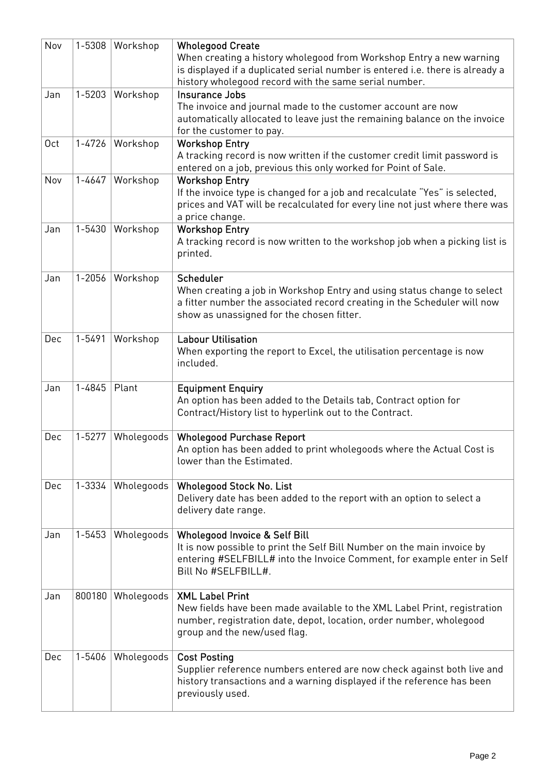| Nov        | 1-5308     | Workshop   | <b>Wholegood Create</b><br>When creating a history wholegood from Workshop Entry a new warning<br>is displayed if a duplicated serial number is entered i.e. there is already a<br>history wholegood record with the same serial number. |
|------------|------------|------------|------------------------------------------------------------------------------------------------------------------------------------------------------------------------------------------------------------------------------------------|
| Jan        | $1 - 5203$ | Workshop   | Insurance Jobs<br>The invoice and journal made to the customer account are now<br>automatically allocated to leave just the remaining balance on the invoice<br>for the customer to pay.                                                 |
| 0ct        | 1-4726     | Workshop   | <b>Workshop Entry</b><br>A tracking record is now written if the customer credit limit password is<br>entered on a job, previous this only worked for Point of Sale.                                                                     |
| Nov        | $1 - 4647$ | Workshop   | <b>Workshop Entry</b><br>If the invoice type is changed for a job and recalculate "Yes" is selected,<br>prices and VAT will be recalculated for every line not just where there was<br>a price change.                                   |
| Jan        | 1-5430     | Workshop   | <b>Workshop Entry</b><br>A tracking record is now written to the workshop job when a picking list is<br>printed.                                                                                                                         |
| Jan        | $1 - 2056$ | Workshop   | Scheduler<br>When creating a job in Workshop Entry and using status change to select<br>a fitter number the associated record creating in the Scheduler will now<br>show as unassigned for the chosen fitter.                            |
| Dec        | 1-5491     | Workshop   | <b>Labour Utilisation</b><br>When exporting the report to Excel, the utilisation percentage is now<br>included.                                                                                                                          |
| Jan        | 1-4845     | Plant      | <b>Equipment Enquiry</b><br>An option has been added to the Details tab, Contract option for<br>Contract/History list to hyperlink out to the Contract.                                                                                  |
| Dec        | $1 - 5277$ | Wholegoods | <b>Wholegood Purchase Report</b><br>An option has been added to print wholegoods where the Actual Cost is<br>lower than the Estimated.                                                                                                   |
| <b>Dec</b> | 1-3334     | Wholegoods | <b>Wholegood Stock No. List</b><br>Delivery date has been added to the report with an option to select a<br>delivery date range.                                                                                                         |
| Jan        | $1 - 5453$ | Wholegoods | <b>Wholegood Invoice &amp; Self Bill</b><br>It is now possible to print the Self Bill Number on the main invoice by<br>entering #SELFBILL# into the Invoice Comment, for example enter in Self<br>Bill No #SELFBILL#.                    |
| Jan        | 800180     | Wholegoods | <b>XML Label Print</b><br>New fields have been made available to the XML Label Print, registration<br>number, registration date, depot, location, order number, wholegood<br>group and the new/used flag.                                |
| <b>Dec</b> | 1-5406     | Wholegoods | <b>Cost Posting</b><br>Supplier reference numbers entered are now check against both live and<br>history transactions and a warning displayed if the reference has been<br>previously used.                                              |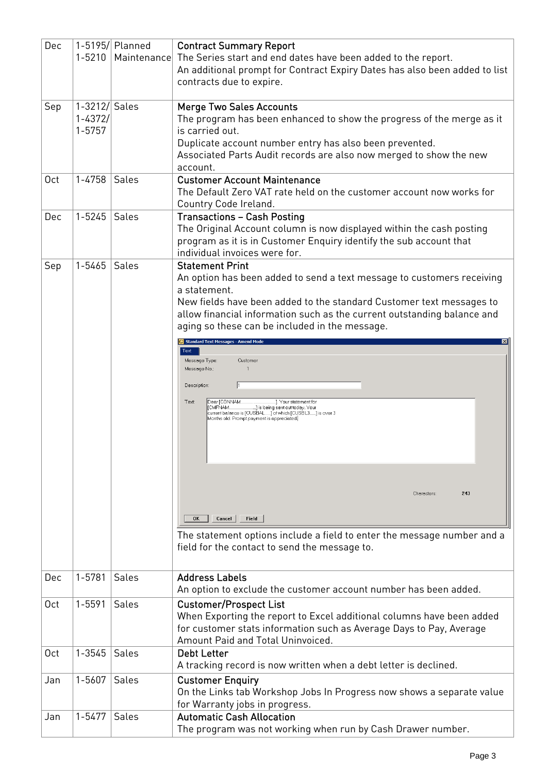| Dec             | $1 - 5210$                             | 1-5195/ Planned<br>Maintenance | <b>Contract Summary Report</b><br>The Series start and end dates have been added to the report.<br>An additional prompt for Contract Expiry Dates has also been added to list<br>contracts due to expire.                                                                                                                                                                                                                                                                                                                                                                                                                                                                                                                                                                                                                                 |  |  |  |  |  |  |  |
|-----------------|----------------------------------------|--------------------------------|-------------------------------------------------------------------------------------------------------------------------------------------------------------------------------------------------------------------------------------------------------------------------------------------------------------------------------------------------------------------------------------------------------------------------------------------------------------------------------------------------------------------------------------------------------------------------------------------------------------------------------------------------------------------------------------------------------------------------------------------------------------------------------------------------------------------------------------------|--|--|--|--|--|--|--|
| Sep             | 1-3212/ Sales<br>$1 - 4372/$<br>1-5757 |                                | <b>Merge Two Sales Accounts</b><br>The program has been enhanced to show the progress of the merge as it<br>is carried out.<br>Duplicate account number entry has also been prevented.<br>Associated Parts Audit records are also now merged to show the new<br>account.                                                                                                                                                                                                                                                                                                                                                                                                                                                                                                                                                                  |  |  |  |  |  |  |  |
| 0 <sub>ct</sub> | 1-4758                                 | Sales                          | <b>Customer Account Maintenance</b><br>The Default Zero VAT rate held on the customer account now works for<br>Country Code Ireland.                                                                                                                                                                                                                                                                                                                                                                                                                                                                                                                                                                                                                                                                                                      |  |  |  |  |  |  |  |
| Dec             | $1 - 5245$                             | Sales                          | <b>Transactions - Cash Posting</b><br>The Original Account column is now displayed within the cash posting<br>program as it is in Customer Enquiry identify the sub account that<br>individual invoices were for.                                                                                                                                                                                                                                                                                                                                                                                                                                                                                                                                                                                                                         |  |  |  |  |  |  |  |
| Sep             | 1-5465                                 | Sales                          | <b>Statement Print</b><br>An option has been added to send a text message to customers receiving<br>a statement.<br>New fields have been added to the standard Customer text messages to<br>allow financial information such as the current outstanding balance and<br>aging so these can be included in the message.<br><b>G</b> Standard Text Messages - Amend Mode<br>Text<br>Message Type:<br>Customer<br>Message No.:<br>h<br>Description:<br>Dear [CONNAM<br>Text:<br>]. Your statement for<br>CMFNAM<br>] is being sent out today. Your<br>current balance is [CUSBAL] of which [CUSBL3] is over 3<br>Months old. Prompt payment is appreciated.<br>243<br>Characters:<br><b>OK</b><br>Cancel<br>Field<br>The statement options include a field to enter the message number and a<br>field for the contact to send the message to. |  |  |  |  |  |  |  |
| Dec             | 1-5781                                 | Sales                          | <b>Address Labels</b><br>An option to exclude the customer account number has been added.                                                                                                                                                                                                                                                                                                                                                                                                                                                                                                                                                                                                                                                                                                                                                 |  |  |  |  |  |  |  |
| 0 <sub>ct</sub> | 1-5591                                 | <b>Sales</b>                   | <b>Customer/Prospect List</b><br>When Exporting the report to Excel additional columns have been added<br>for customer stats information such as Average Days to Pay, Average<br>Amount Paid and Total Uninvoiced.                                                                                                                                                                                                                                                                                                                                                                                                                                                                                                                                                                                                                        |  |  |  |  |  |  |  |
| 0 <sub>ct</sub> | $1 - 3545$                             | Sales                          | <b>Debt Letter</b><br>A tracking record is now written when a debt letter is declined.                                                                                                                                                                                                                                                                                                                                                                                                                                                                                                                                                                                                                                                                                                                                                    |  |  |  |  |  |  |  |
| Jan             | 1-5607                                 | Sales                          | <b>Customer Enquiry</b><br>On the Links tab Workshop Jobs In Progress now shows a separate value<br>for Warranty jobs in progress.                                                                                                                                                                                                                                                                                                                                                                                                                                                                                                                                                                                                                                                                                                        |  |  |  |  |  |  |  |
| Jan             | $1 - 5477$                             | Sales                          | <b>Automatic Cash Allocation</b><br>The program was not working when run by Cash Drawer number.                                                                                                                                                                                                                                                                                                                                                                                                                                                                                                                                                                                                                                                                                                                                           |  |  |  |  |  |  |  |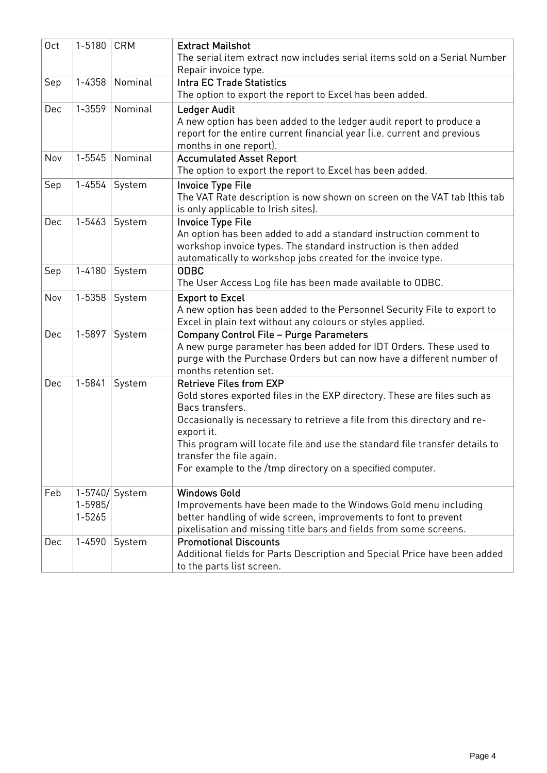| Oct | 1-5180      | <b>CRM</b> | <b>Extract Mailshot</b>                                                                     |
|-----|-------------|------------|---------------------------------------------------------------------------------------------|
|     |             |            | The serial item extract now includes serial items sold on a Serial Number                   |
|     |             |            | Repair invoice type.                                                                        |
| Sep | 1-4358      | Nominal    | <b>Intra EC Trade Statistics</b>                                                            |
|     |             |            | The option to export the report to Excel has been added.                                    |
| Dec | 1-3559      | Nominal    | <b>Ledger Audit</b>                                                                         |
|     |             |            | A new option has been added to the ledger audit report to produce a                         |
|     |             |            | report for the entire current financial year (i.e. current and previous                     |
|     |             |            | months in one report).                                                                      |
| Nov | 1-5545      | Nominal    | <b>Accumulated Asset Report</b>                                                             |
|     |             |            | The option to export the report to Excel has been added.                                    |
| Sep | $1 - 4554$  | System     | <b>Invoice Type File</b>                                                                    |
|     |             |            | The VAT Rate description is now shown on screen on the VAT tab (this tab                    |
|     |             |            | is only applicable to Irish sites).                                                         |
| Dec | 1-5463      | System     | <b>Invoice Type File</b>                                                                    |
|     |             |            | An option has been added to add a standard instruction comment to                           |
|     |             |            | workshop invoice types. The standard instruction is then added                              |
|     |             |            | automatically to workshop jobs created for the invoice type.                                |
| Sep | $1 - 4180$  | System     | <b>ODBC</b>                                                                                 |
|     |             |            | The User Access Log file has been made available to ODBC.                                   |
| Nov | 1-5358      | System     | <b>Export to Excel</b>                                                                      |
|     |             |            | A new option has been added to the Personnel Security File to export to                     |
|     |             |            | Excel in plain text without any colours or styles applied.                                  |
| Dec | 1-5897      | System     | Company Control File - Purge Parameters                                                     |
|     |             |            | A new purge parameter has been added for IDT Orders. These used to                          |
|     |             |            | purge with the Purchase Orders but can now have a different number of                       |
|     |             |            | months retention set.                                                                       |
| Dec | $1 - 5841$  | System     | <b>Retrieve Files from EXP</b>                                                              |
|     |             |            | Gold stores exported files in the EXP directory. These are files such as<br>Bacs transfers. |
|     |             |            | Occasionally is necessary to retrieve a file from this directory and re-                    |
|     |             |            | export it.                                                                                  |
|     |             |            | This program will locate file and use the standard file transfer details to                 |
|     |             |            | transfer the file again.                                                                    |
|     |             |            | For example to the /tmp directory on a specified computer.                                  |
|     |             |            |                                                                                             |
| Feb | $1 - 5740/$ | System     | <b>Windows Gold</b>                                                                         |
|     | $1 - 5985/$ |            | Improvements have been made to the Windows Gold menu including                              |
|     | 1-5265      |            | better handling of wide screen, improvements to font to prevent                             |
|     |             |            | pixelisation and missing title bars and fields from some screens.                           |
| Dec | 1-4590      | System     | <b>Promotional Discounts</b>                                                                |
|     |             |            | Additional fields for Parts Description and Special Price have been added                   |
|     |             |            | to the parts list screen.                                                                   |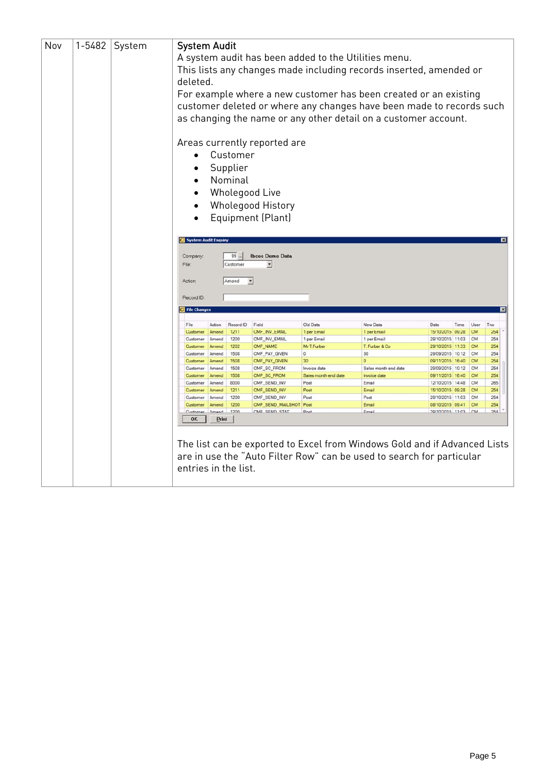| Nov | 1-5482 | System | <b>System Audit</b><br>A system audit has been added to the Utilities menu.<br>This lists any changes made including records inserted, amended or<br>deleted.<br>For example where a new customer has been created or an existing<br>customer deleted or where any changes have been made to records such<br>as changing the name or any other detail on a customer account.<br>Areas currently reported are<br>Customer<br>Supplier<br>Nominal<br><b>Wholegood Live</b><br>Wholegood History<br>Equipment (Plant)<br><b>B</b> System Audit Enquiry<br>99<br><b>Ibcos Demo Data</b><br>Company.<br>File:<br>Customer<br>$\ddot{}$<br>Amend<br>$\overline{\phantom{a}}$<br>Action |                |              |                                   |                      |                                                                                                                                                    |                                      |      |                        |                 |
|-----|--------|--------|----------------------------------------------------------------------------------------------------------------------------------------------------------------------------------------------------------------------------------------------------------------------------------------------------------------------------------------------------------------------------------------------------------------------------------------------------------------------------------------------------------------------------------------------------------------------------------------------------------------------------------------------------------------------------------|----------------|--------------|-----------------------------------|----------------------|----------------------------------------------------------------------------------------------------------------------------------------------------|--------------------------------------|------|------------------------|-----------------|
|     |        |        | Record ID:                                                                                                                                                                                                                                                                                                                                                                                                                                                                                                                                                                                                                                                                       |                |              |                                   |                      |                                                                                                                                                    |                                      |      |                        |                 |
|     |        |        | <b>E</b> File Change                                                                                                                                                                                                                                                                                                                                                                                                                                                                                                                                                                                                                                                             |                |              |                                   |                      |                                                                                                                                                    |                                      |      |                        | ×               |
|     |        |        | File                                                                                                                                                                                                                                                                                                                                                                                                                                                                                                                                                                                                                                                                             | Action         | Record ID    | Field                             | Old Data             | New Data                                                                                                                                           | Date                                 | Time | User                   | T <sub>no</sub> |
|     |        |        | Customer                                                                                                                                                                                                                                                                                                                                                                                                                                                                                                                                                                                                                                                                         | Amend          | 1211         | CMF_INV_EMAIL                     | 1 per Email          | 1 per Email                                                                                                                                        | 15/10/2015 09:28                     |      | <b>CM</b>              | 254             |
|     |        |        | Customer                                                                                                                                                                                                                                                                                                                                                                                                                                                                                                                                                                                                                                                                         | Amend          | 1200         | CMF INV EMAIL                     | 1 per Email          | 1 per Email                                                                                                                                        | 29/10/2015 11:03                     |      | <b>CM</b>              | 254             |
|     |        |        | Customer                                                                                                                                                                                                                                                                                                                                                                                                                                                                                                                                                                                                                                                                         | Amend          | 1202         | CMF_NAME                          | Mr T.Furber          | T. Furber & Co.                                                                                                                                    | 29/10/2015 11:33                     |      | <b>CM</b>              | 254             |
|     |        |        | Customer<br>Customer                                                                                                                                                                                                                                                                                                                                                                                                                                                                                                                                                                                                                                                             | Amend<br>Amend | 1508<br>1508 | CMF_PAY_GIVEN<br>CMF_PAY_GIVEN    | $\circ$<br>30        | 30<br>$\bullet$                                                                                                                                    | 29/09/2015 10:12<br>09/11/2015 16:40 |      | <b>CM</b><br><b>CM</b> | 254<br>254      |
|     |        |        | Customer                                                                                                                                                                                                                                                                                                                                                                                                                                                                                                                                                                                                                                                                         | Amend          | 1508         | CMF_SC_FROM                       | Invoice date         | Sales month end date                                                                                                                               | 29/09/2015 10:12                     |      | <b>CM</b>              | 254             |
|     |        |        | Customer                                                                                                                                                                                                                                                                                                                                                                                                                                                                                                                                                                                                                                                                         | Amend          | 1508         | CMF_SC_FROM                       | Sales month end date | Invoice date                                                                                                                                       | 09/11/2015 16:40                     |      | <b>CM</b>              | 254             |
|     |        |        | Customer                                                                                                                                                                                                                                                                                                                                                                                                                                                                                                                                                                                                                                                                         | Amend          | 8000         | CMF_SEND_INV                      | Post                 | Email                                                                                                                                              | 12/10/2015 14:48                     |      | CM                     | 265             |
|     |        |        | Customer                                                                                                                                                                                                                                                                                                                                                                                                                                                                                                                                                                                                                                                                         | Amend          | 1211         | CMF_SEND_INV                      | Post                 | Email                                                                                                                                              | 15/10/2015 09:28                     |      | <b>CM</b>              | 254             |
|     |        |        | Customer<br>Customer                                                                                                                                                                                                                                                                                                                                                                                                                                                                                                                                                                                                                                                             | Amend<br>Amend | 1200<br>1200 | CMF_SEND_INV<br>CMF_SEND_MAILSHOT | Post<br>Post         | Post<br>Email                                                                                                                                      | 29/10/2015 11:03<br>08/10/2015 09:41 |      | <b>CM</b><br><b>CM</b> | 254<br>254      |
|     |        |        | Customer                                                                                                                                                                                                                                                                                                                                                                                                                                                                                                                                                                                                                                                                         |                | 1200         | CME SEND STAT                     | Post                 | Email                                                                                                                                              | 20/10/2015 11:02                     |      | CM                     | 254             |
|     |        |        | OK                                                                                                                                                                                                                                                                                                                                                                                                                                                                                                                                                                                                                                                                               | Print          |              |                                   |                      |                                                                                                                                                    |                                      |      |                        |                 |
|     |        |        | entries in the list.                                                                                                                                                                                                                                                                                                                                                                                                                                                                                                                                                                                                                                                             |                |              |                                   |                      | The list can be exported to Excel from Windows Gold and if Advanced Lists<br>are in use the "Auto Filter Row" can be used to search for particular |                                      |      |                        |                 |